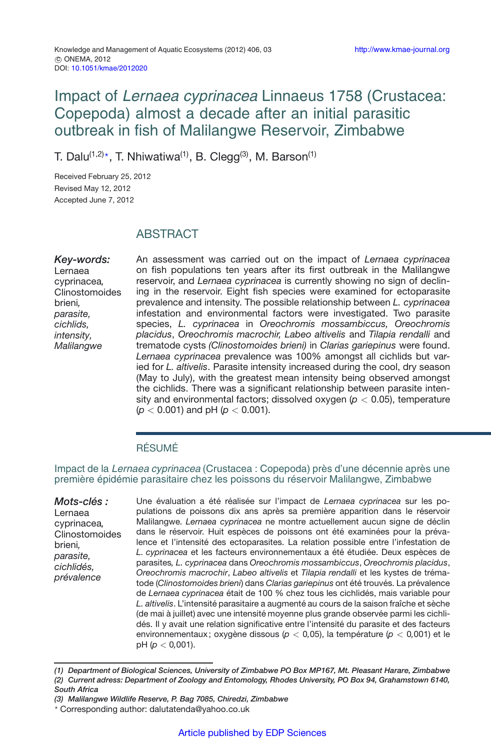# Impact of Lernaea cyprinacea Linnaeus 1758 (Crustacea: Copepoda) almost a decade after an initial parasitic outbreak in fish of Malilangwe Reservoir, Zimbabwe

T. Dalu $^{(1,2)\star}$ , T. Nhiwatiwa $^{(1)}$ , B. Clegg $^{(3)}$ , M. Barson $^{(1)}$ 

Received February 25, 2012 Revised May 12, 2012 Accepted June 7, 2012

# **ABSTRACT**

*Key-words:* Lernaea cyprinacea*,* Clinostomoides brieni*, parasite, cichlids, intensity, Malilangwe*

An assessment was carried out on the impact of *Lernaea cyprinacea* on fish populations ten years after its first outbreak in the Malilangwe reservoir, and *Lernaea cyprinacea* is currently showing no sign of declining in the reservoir. Eight fish species were examined for ectoparasite prevalence and intensity. The possible relationship between *L. cyprinacea* infestation and environmental factors were investigated. Two parasite species, *L. cyprinacea* in *Oreochromis mossambiccus, Oreochromis placidus*, *Oreochromis macrochir, Labeo altivelis* and *Tilapia rendalli* and trematode cysts *(Clinostomoides brieni)* in *Clarias gariepinus* were found. *Lernaea cyprinacea* prevalence was 100% amongst all cichlids but varied for *L. altivelis*. Parasite intensity increased during the cool, dry season (May to July), with the greatest mean intensity being observed amongst the cichlids. There was a significant relationship between parasite intensity and environmental factors; dissolved oxygen (*p <* 0.05), temperature (*p <* 0.001) and pH (*p <* 0.001).

## RÉSUMÉ

Impact de la Lernaea cyprinacea (Crustacea : Copepoda) près d'une décennie après une première épidémie parasitaire chez les poissons du réservoir Malilangwe, Zimbabwe

*Mots-clés :* Lernaea cyprinacea*,* Clinostomoides brieni*, parasite, cichlidés, prévalence*

Une évaluation a été réalisée sur l'impact de *Lernaea cyprinacea* sur les populations de poissons dix ans après sa première apparition dans le réservoir Malilangwe. *Lernaea cyprinacea* ne montre actuellement aucun signe de déclin dans le réservoir. Huit espèces de poissons ont été examinées pour la prévalence et l'intensité des ectoparasites. La relation possible entre l'infestation de *L. cyprinacea* et les facteurs environnementaux a été étudiée. Deux espèces de parasites*, L. cyprinacea* dans *Oreochromis mossambiccus*, *Oreochromis placidus*, *Oreochromis macrochir*, *Labeo altivelis* et *Tilapia rendalli* et les kystes de trématode (*Clinostomoides brieni*) dans *Clarias gariepinus* ont été trouvés. La prévalence de *Lernaea cyprinacea* était de 100 % chez tous les cichlidés, mais variable pour *L. altivelis*. L'intensité parasitaire a augmenté au cours de la saison fraîche et sèche (de mai à juillet) avec une intensité moyenne plus grande observée parmi les cichlidés. Il y avait une relation significative entre l'intensité du parasite et des facteurs environnementaux; oxygène dissous (*p <* 0*,*05), la température (*p <* 0*,*001) et le pH (*p <* 0*,*001).

*<sup>(1)</sup> Department of Biological Sciences, University of Zimbabwe PO Box MP167, Mt. Pleasant Harare, Zimbabwe (2) Current adress: Department of Zoology and Entomology, Rhodes University, PO Box 94, Grahamstown 6140, South Africa*

*<sup>(3)</sup> Malilangwe Wildlife Reserve, P. Bag 7085, Chiredzi, Zimbabwe*

<sup>-</sup> Corresponding author: dalutatenda@yahoo.co.uk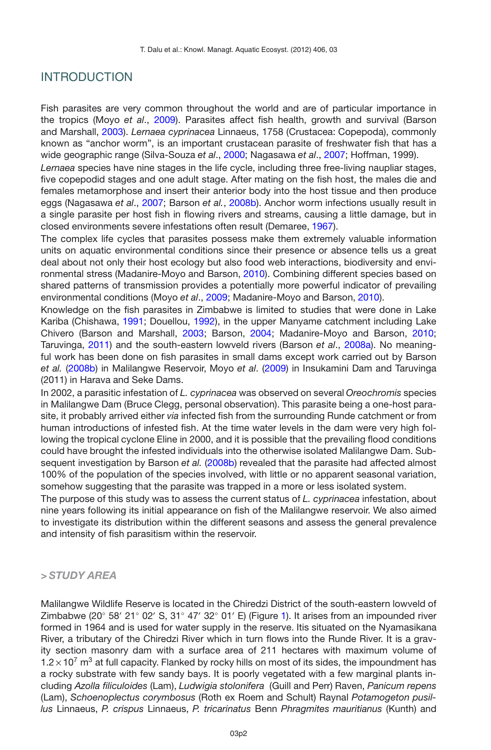### INTRODUCTION

Fish parasites are very common throughout the world and are of particular importance in the tropics (Moyo *et al*., [2009](#page-8-0)). Parasites affect fish health, growth and survival (Barson and Marshall, [2003](#page-8-1)). *Lernaea cyprinacea* Linnaeus, 1758 (Crustacea: Copepoda), commonly known as "anchor worm", is an important crustacean parasite of freshwater fish that has a wide geographic range (Silva-Souza *et al*., [2000;](#page-8-2) Nagasawa *et al*., [2007;](#page-8-3) Hoffman, 1999).

*Lernaea* species have nine stages in the life cycle, including three free-living naupliar stages, five copepodid stages and one adult stage. After mating on the fish host, the males die and females metamorphose and insert their anterior body into the host tissue and then produce eggs (Nagasawa *et al*., [2007;](#page-8-3) Barson *et al.*, [2008b](#page-8-4)). Anchor worm infections usually result in a single parasite per host fish in flowing rivers and streams, causing a little damage, but in closed environments severe infestations often result (Demaree, [1967](#page-8-5)).

The complex life cycles that parasites possess make them extremely valuable information units on aquatic environmental conditions since their presence or absence tells us a great deal about not only their host ecology but also food web interactions, biodiversity and environmental stress (Madanire-Moyo and Barson, [2010](#page-8-6)). Combining different species based on shared patterns of transmission provides a potentially more powerful indicator of prevailing environmental conditions (Moyo *et al*., [2009](#page-8-0); Madanire-Moyo and Barson, [2010](#page-8-6)).

Knowledge on the fish parasites in Zimbabwe is limited to studies that were done in Lake Kariba (Chishawa, [1991](#page-8-7); Douellou, [1992](#page-8-8)), in the upper Manyame catchment including Lake Chivero (Barson and Marshall, [2003](#page-8-1); Barson, [2004](#page-8-9); Madanire-Moyo and Barson, [2010;](#page-8-6) Taruvinga, [2011\)](#page-8-10) and the south-eastern lowveld rivers (Barson *et al*., [2008a](#page-8-11)). No meaningful work has been done on fish parasites in small dams except work carried out by Barson *et al.* [\(2008b](#page-8-4)) in Malilangwe Reservoir, Moyo *et al*. [\(2009](#page-8-0)) in Insukamini Dam and Taruvinga (2011) in Harava and Seke Dams.

In 2002, a parasitic infestation of *L. cyprinacea* was observed on several *Oreochromis* species in Malilangwe Dam (Bruce Clegg, personal observation). This parasite being a one-host parasite, it probably arrived either *via* infected fish from the surrounding Runde catchment or from human introductions of infested fish. At the time water levels in the dam were very high following the tropical cyclone Eline in 2000, and it is possible that the prevailing flood conditions could have brought the infested individuals into the otherwise isolated Malilangwe Dam. Subsequent investigation by Barson *et al.* [\(2008b](#page-8-4)) revealed that the parasite had affected almost 100% of the population of the species involved, with little or no apparent seasonal variation, somehow suggesting that the parasite was trapped in a more or less isolated system.

The purpose of this study was to assess the current status of *L. cyprinacea* infestation, about nine years following its initial appearance on fish of the Malilangwe reservoir. We also aimed to investigate its distribution within the different seasons and assess the general prevalence and intensity of fish parasitism within the reservoir.

### *> STUDY AREA*

Malilangwe Wildlife Reserve is located in the Chiredzi District of the south-eastern lowveld of Zimbabwe (20° 58' 21° 02' S, 31° 47' 32° 01' E) (Figure [1\)](#page-2-0). It arises from an impounded river formed in 1964 and is used for water supply in the reserve. Itis situated on the Nyamasikana River, a tributary of the Chiredzi River which in turn flows into the Runde River. It is a gravity section masonry dam with a surface area of 211 hectares with maximum volume of  $1.2\times10^7$  m<sup>3</sup> at full capacity. Flanked by rocky hills on most of its sides, the impoundment has a rocky substrate with few sandy bays. It is poorly vegetated with a few marginal plants including *Azolla filiculoides* (Lam), *Ludwigia stolonifera* (Guill and Perr) Raven, *Panicum repens* (Lam), *Schoenoplectus corymbosus* (Roth ex Roem and Schult) Raynal *Potamogeton pusillus* Linnaeus, *P. crispus* Linnaeus, *P. tricarinatus* Benn *Phragmites mauritianus* (Kunth) and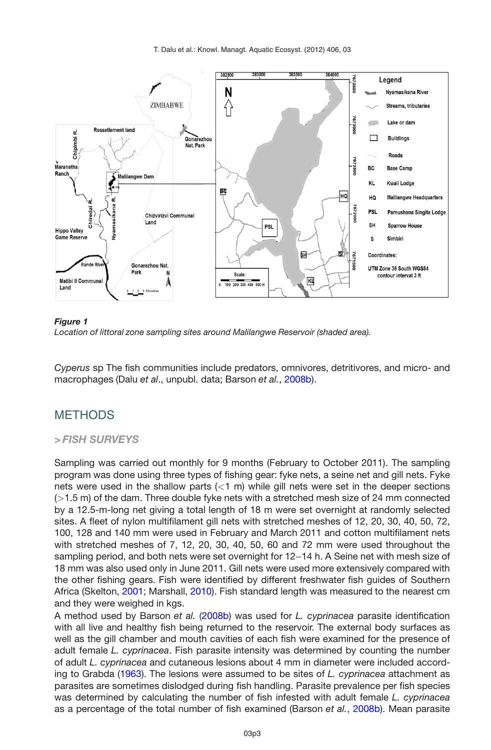<span id="page-2-0"></span>T. Dalu et al.: Knowl. Managt. Aquatic Ecosyst. (2012) 406, 03



#### *Figure 1*

*Location of littoral zone sampling sites around Malilangwe Reservoir (shaded area).*

*Cyperus* sp The fish communities include predators, omnivores, detritivores, and micro- and macrophages (Dalu *et al*., unpubl. data; Barson *et al.*, [2008b\)](#page-8-4).

## **METHODS**

### *> FISH SURVEYS*

Sampling was carried out monthly for 9 months (February to October 2011). The sampling program was done using three types of fishing gear: fyke nets, a seine net and gill nets. Fyke nets were used in the shallow parts (*<*1 m) while gill nets were set in the deeper sections (*>*1.5 m) of the dam. Three double fyke nets with a stretched mesh size of 24 mm connected by a 12.5-m-long net giving a total length of 18 m were set overnight at randomly selected sites. A fleet of nylon multifilament gill nets with stretched meshes of 12, 20, 30, 40, 50, 72, 100, 128 and 140 mm were used in February and March 2011 and cotton multifilament nets with stretched meshes of 7, 12, 20, 30, 40, 50, 60 and 72 mm were used throughout the sampling period, and both nets were set overnight for 12−14 h. A Seine net with mesh size of 18 mm was also used only in June 2011. Gill nets were used more extensively compared with the other fishing gears. Fish were identified by different freshwater fish guides of Southern Africa (Skelton, [2001](#page-8-12); Marshall, [2010](#page-8-13)). Fish standard length was measured to the nearest cm and they were weighed in kgs.

A method used by Barson *et al.* [\(2008b\)](#page-8-4) was used for *L. cyprinacea* parasite identification with all live and healthy fish being returned to the reservoir. The external body surfaces as well as the gill chamber and mouth cavities of each fish were examined for the presence of adult female *L. cyprinacea*. Fish parasite intensity was determined by counting the number of adult *L. cyprinacea* and cutaneous lesions about 4 mm in diameter were included according to Grabda [\(1963\)](#page-8-14). The lesions were assumed to be sites of *L. cyprinacea* attachment as parasites are sometimes dislodged during fish handling. Parasite prevalence per fish species was determined by calculating the number of fish infested with adult female *L. cyprinacea* as a percentage of the total number of fish examined (Barson *et al.*, [2008b](#page-8-4)). Mean parasite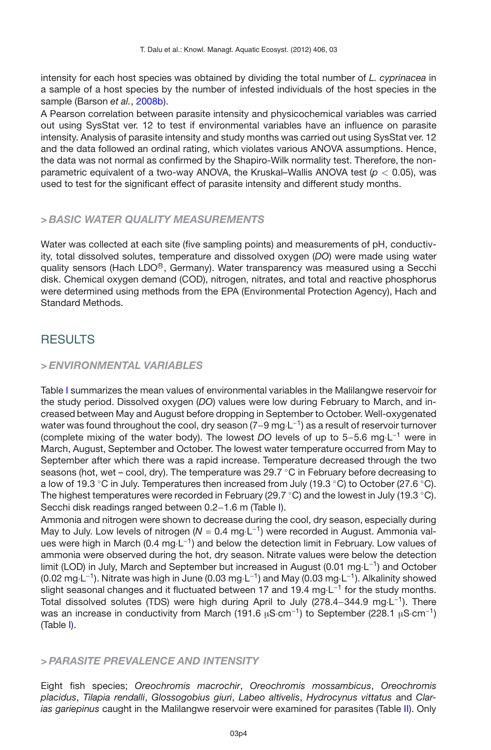intensity for each host species was obtained by dividing the total number of *L. cyprinacea* in a sample of a host species by the number of infested individuals of the host species in the sample (Barson *et al.*, [2008b\)](#page-8-4).

A Pearson correlation between parasite intensity and physicochemical variables was carried out using SysStat ver. 12 to test if environmental variables have an influence on parasite intensity. Analysis of parasite intensity and study months was carried out using SysStat ver. 12 and the data followed an ordinal rating, which violates various ANOVA assumptions. Hence, the data was not normal as confirmed by the Shapiro-Wilk normality test. Therefore, the nonparametric equivalent of a two-way ANOVA, the Kruskal–Wallis ANOVA test (*p <* 0.05), was used to test for the significant effect of parasite intensity and different study months.

### *> BASIC WATER QUALITY MEASUREMENTS*

Water was collected at each site (five sampling points) and measurements of pH, conductivity, total dissolved solutes, temperature and dissolved oxygen (*DO*) were made using water quality sensors (Hach LDO<sup>®</sup>, Germany). Water transparency was measured using a Secchi disk. Chemical oxygen demand (COD), nitrogen, nitrates, and total and reactive phosphorus were determined using methods from the EPA (Environmental Protection Agency), Hach and Standard Methods.

# **RESULTS**

### *> ENVIRONMENTAL VARIABLES*

Table [I](#page-4-0) summarizes the mean values of environmental variables in the Malilangwe reservoir for the study period. Dissolved oxygen (*DO*) values were low during February to March, and increased between May and August before dropping in September to October. Well-oxygenated water was found throughout the cool, dry season (7–9 mg⋅L<sup>-1</sup>) as a result of reservoir turnover (complete mixing of the water body). The lowest *DO* levels of up to 5−5.6 mg·L−<sup>1</sup> were in March, August, September and October. The lowest water temperature occurred from May to September after which there was a rapid increase. Temperature decreased through the two seasons (hot, wet – cool, dry). The temperature was 29.7  $\degree$ C in February before decreasing to a low of 19.3  $\degree$ C in July. Temperatures then increased from July (19.3  $\degree$ C) to October (27.6  $\degree$ C). The highest temperatures were recorded in February (29.7  $\degree$ C) and the lowest in July (19.3  $\degree$ C). Secchi disk readings ranged between 0.2−1.6 m (Table [I\)](#page-4-0).

Ammonia and nitrogen were shown to decrease during the cool, dry season, especially during May to July. Low levels of nitrogen (*<sup>N</sup>* <sup>=</sup> 0.4 mg·L−1) were recorded in August. Ammonia values were high in March (0.4 mg·L−1) and below the detection limit in February. Low values of ammonia were observed during the hot, dry season. Nitrate values were below the detection limit (LOD) in July, March and September but increased in August (0.01 mg·L−1) and October  $(0.02 \text{ mg} \cdot \text{L}^{-1})$ . Nitrate was high in June  $(0.03 \text{ mg} \cdot \text{L}^{-1})$  and May  $(0.03 \text{ mg} \cdot \text{L}^{-1})$ . Alkalinity showed slight seasonal changes and it fluctuated between 17 and 19.4 mg⋅L<sup>-1</sup> for the study months. Total dissolved solutes (TDS) were high during April to July (278.4–344.9 mg·L<sup>-1</sup>). There was an increase in conductivity from March (191.6  $\mu$ S·cm<sup>-1</sup>) to September (228.1  $\mu$ S·cm<sup>-1</sup>) (Table [I\)](#page-4-0).

### *> PARASITE PREVALENCE AND INTENSITY*

Eight fish species; *Oreochromis macrochir*, *Oreochromis mossambicus*, *Oreochromis placidus*, *Tilapia rendalli*, *Glossogobius giuri*, *Labeo altivelis*, *Hydrocynus vittatus* and *Clarias gariepinus* caught in the Malilangwe reservoir were examined for parasites (Table [II\)](#page-5-0). Only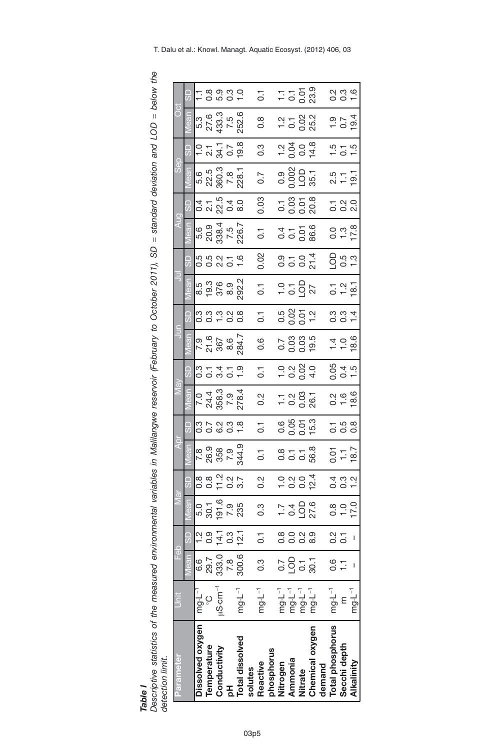Descriptive statistics of the measured environmental variables in Malilangwe reservoir (February to October 2011), SD = *standard deviation and LOD below the detection limit.*

<span id="page-4-0"></span>*Table I*

| Parameter              | Š                                      | Feb                                                                                                                                                      |                 |                                                                          |                              | ą                                               |                       |                                                                   |                                                         |                              |                         |                                                                       |                                                                                            |                                                             |                                       | Sep                                       |                                                         | ö                                |                                           |
|------------------------|----------------------------------------|----------------------------------------------------------------------------------------------------------------------------------------------------------|-----------------|--------------------------------------------------------------------------|------------------------------|-------------------------------------------------|-----------------------|-------------------------------------------------------------------|---------------------------------------------------------|------------------------------|-------------------------|-----------------------------------------------------------------------|--------------------------------------------------------------------------------------------|-------------------------------------------------------------|---------------------------------------|-------------------------------------------|---------------------------------------------------------|----------------------------------|-------------------------------------------|
|                        |                                        | vlean                                                                                                                                                    | $\overline{5}$  |                                                                          |                              |                                                 |                       |                                                                   |                                                         |                              |                         |                                                                       |                                                                                            |                                                             |                                       |                                           |                                                         |                                  |                                           |
| Dissolved oxygen       | $mg \cdot L^{-T}$                      | 6.6                                                                                                                                                      | 1.2             | 5.0                                                                      |                              |                                                 |                       |                                                                   |                                                         |                              |                         |                                                                       |                                                                                            |                                                             |                                       |                                           |                                                         |                                  |                                           |
| Temperature            | ပ္ပ                                    |                                                                                                                                                          | 29.7 0.9        | 30.1                                                                     |                              |                                                 |                       |                                                                   |                                                         |                              |                         |                                                                       |                                                                                            |                                                             |                                       |                                           |                                                         |                                  |                                           |
| Conductivity           | $\mu$ S-cm $^{-1}$                     |                                                                                                                                                          |                 |                                                                          | 8<br>00703<br>00703          |                                                 | araa<br>addad         | $7243$<br>$243$<br>$253$<br>$73$<br>$73$<br>$284$<br>$73$<br>$24$ | oowor<br>Oowor                                          |                              | scriptors<br>codino     |                                                                       | 5<br>5<br>5<br>5<br>5<br>5<br>5<br>5<br>5<br>5<br>5<br>5<br>5<br>5<br>5<br>5<br>1<br>5<br> |                                                             | a r r r a o<br>a v g a o<br>a v g a o | 5.6<br>23.60.3<br>28.1<br>228.1           | $-2.7$<br>$-2.7$<br>$-5.7$<br>$-2.8$<br>$-2.8$          | 5.3<br>27.3.3<br>5.3.5<br>252.6  | - 8 8 8 9<br>- 8 8 9 9                    |
| 공                      |                                        |                                                                                                                                                          |                 |                                                                          |                              |                                                 |                       |                                                                   |                                                         |                              |                         |                                                                       |                                                                                            |                                                             |                                       |                                           |                                                         |                                  |                                           |
| <b>Total dissolved</b> | $mg \cdot L^{-1}$                      | $\begin{array}{ l l } \hline 333.0 & \text{14.1} & \text{191.6} \\ \hline 7.8 & 0.3 & 7.9 \\ \hline 300.6 & \text{12.1} & 235 \end{array}$<br>300.6 12.1 |                 |                                                                          |                              | 7 8 9 9 9<br>26 9 9 9 7<br>7 9 9 9 1<br>7 9 9 1 |                       |                                                                   |                                                         | 7.9<br>21.6<br>2007<br>204.7 |                         | 8.5 0 0 0 0 0<br>8.9 0 0 0 0<br>8.9 0 0 0                             |                                                                                            | 5.6<br>20.38.4<br>226.7<br>226.7                            |                                       |                                           |                                                         |                                  |                                           |
| solutes                |                                        |                                                                                                                                                          |                 |                                                                          |                              |                                                 |                       |                                                                   |                                                         |                              |                         |                                                                       |                                                                                            |                                                             |                                       |                                           |                                                         |                                  |                                           |
| Reactive               | $mgL^{-1}$                             | $\overline{0.3}$                                                                                                                                         | 0.1             | $\frac{3}{2}$                                                            | 0.2                          | $\overline{0}$                                  | $\overline{C}$        | 0.2                                                               | $\overline{0}$                                          | 0.6                          | $\overline{C}$          | $\overline{C}$                                                        | 0.02                                                                                       | $\overline{0}$                                              | 0.03                                  | 0.7                                       | $0.\overline{3}$                                        | 8.0                              | $\overline{C}$                            |
| phosphorus             |                                        |                                                                                                                                                          |                 |                                                                          |                              |                                                 |                       |                                                                   |                                                         |                              |                         |                                                                       |                                                                                            |                                                             |                                       |                                           |                                                         |                                  |                                           |
| Nitrogen               | $mg \cdot L^{-1}$                      | $\overline{0}$ .7                                                                                                                                        | 0.8             | $\frac{1}{2}$ $\frac{0}{4}$ $\frac{0}{0}$ $\frac{0}{0}$<br>$\frac{0}{1}$ |                              |                                                 |                       |                                                                   |                                                         |                              |                         |                                                                       |                                                                                            |                                                             |                                       |                                           |                                                         |                                  |                                           |
| Ammonia                |                                        | $\overline{O}$                                                                                                                                           | 0.0             |                                                                          |                              | 8 1 1 8<br>0 0 0 8<br>0 0 0 8                   |                       | $-0.87$                                                           | $\frac{1}{1}$ $\frac{3}{1}$ $\frac{3}{1}$ $\frac{4}{1}$ | 2<br>0000<br>0000            | 5<br>0.05 0.0<br>0.00 T | 2592                                                                  | 0<br>0 0 0 1<br>0 0 0 1                                                                    | $\frac{4}{10}$ $\frac{5}{10}$ $\frac{6}{10}$ $\frac{6}{10}$ | $-3.58$<br>$-3.58$                    | 9<br>9<br>9<br>9<br>9<br>9<br>9<br>9<br>9 | $\frac{1}{1}$ $\frac{3}{9}$ $\frac{3}{9}$ $\frac{4}{9}$ | 2 1 2 3 2<br>2 3 3 3<br>2 5 9 3  | $-5.58$<br>$-5.58$                        |
| Nitrate                |                                        | $0.1$<br>$30.1$                                                                                                                                          | $\frac{2}{5}$   |                                                                          |                              |                                                 |                       |                                                                   |                                                         |                              |                         |                                                                       |                                                                                            |                                                             |                                       |                                           |                                                         |                                  |                                           |
| Chemical oxygen        | די בין<br>די בין<br>די פי בין<br>די פי |                                                                                                                                                          | 8.9             |                                                                          | -<br>-<br>- - - 7<br>- - - 7 |                                                 | 0.55<br>0.05<br>0.015 |                                                                   |                                                         |                              |                         |                                                                       |                                                                                            |                                                             |                                       |                                           |                                                         |                                  |                                           |
| demand                 |                                        |                                                                                                                                                          |                 |                                                                          |                              |                                                 |                       |                                                                   |                                                         |                              |                         |                                                                       |                                                                                            |                                                             |                                       |                                           |                                                         |                                  |                                           |
| Total phosphorus       | $mgL^{-1}$                             | 0.6                                                                                                                                                      | $\frac{2}{0.7}$ |                                                                          |                              |                                                 |                       |                                                                   |                                                         |                              |                         |                                                                       |                                                                                            |                                                             |                                       |                                           |                                                         |                                  |                                           |
| Secchi depth           | $\epsilon$                             | $\overline{1}$                                                                                                                                           |                 | $0.900$<br>$+7.00$                                                       | 0 0 1<br>9 0 1               | $0.7$<br>$1.7$<br>$18.7$                        | 1<br>0 0 0<br>0 0     | $\frac{2}{9}$<br>$\frac{1}{9}$<br>$\frac{2}{9}$                   | 0.4<br>0.4<br>0.5                                       |                              | 0<br>0 0 1<br>0 0 1     | $\frac{1}{0}$ $\frac{1}{1}$ $\frac{2}{1}$ $\frac{1}{1}$ $\frac{3}{1}$ | 0<br>0<br>0<br>0<br>1<br>3                                                                 | $0.78$<br>$-7.8$                                            | 1<br>0 0 0<br>0 0 0                   | 5<br>2 – 5<br>2 – 9                       |                                                         | $\frac{1}{0}$ .<br>$\frac{5}{4}$ | 0<br>0 0 <del>0</del><br>0 0 <del>0</del> |
| Alkalinity             | $mgL^{-1}$                             |                                                                                                                                                          |                 |                                                                          |                              |                                                 |                       |                                                                   |                                                         | $\frac{1}{4} - \frac{1}{6}$  |                         |                                                                       |                                                                                            |                                                             |                                       |                                           |                                                         |                                  |                                           |

T. Dalu et al.: Knowl. Managt. Aquatic Ecosyst. (2012) 406, 03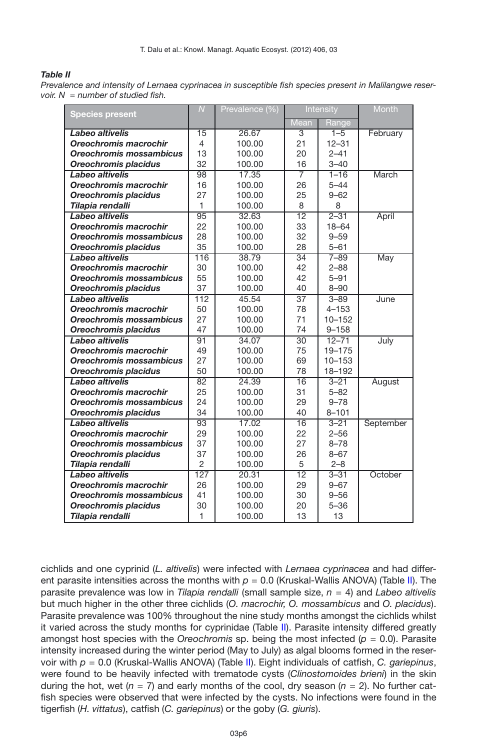#### <span id="page-5-0"></span>*Table II*

*Prevalence and intensity of Lernaea cyprinacea in susceptible fish species present in Malilangwe reservoir. N* = *number of studied fish.*

| <b>Species present</b>         | $\overline{N}$  | Prevalence (%) |                 | Intensity  | Month     |
|--------------------------------|-----------------|----------------|-----------------|------------|-----------|
|                                |                 |                | <b>Mean</b>     | Range      |           |
| Labeo altivelis                | $\overline{15}$ | 26.67          | 3               | $1 - 5$    | February  |
| Oreochromis macrochir          | 4               | 100.00         | 21              | $12 - 31$  |           |
| Oreochromis mossambicus        | 13              | 100.00         | 20              | $2 - 41$   |           |
| <b>Oreochromis placidus</b>    | 32              | 100.00         | 16              | $3 - 40$   |           |
| Labeo altivelis                | $\overline{98}$ | 17.35          | 7               | $1 - 16$   | March     |
| Oreochromis macrochir          | 16              | 100.00         | 26              | $5 - 44$   |           |
| <b>Oreochromis placidus</b>    | 27              | 100.00         | 25              | $9 - 62$   |           |
| Tilapia rendalli               | 1               | 100.00         | 8               | 8          |           |
| Labeo altivelis                | 95              | 32.63          | $\overline{12}$ | $2 - 31$   | April     |
| Oreochromis macrochir          | 22              | 100.00         | 33              | $18 - 64$  |           |
| Oreochromis mossambicus        | 28              | 100.00         | 32              | $9 - 59$   |           |
| <b>Oreochromis placidus</b>    | 35              | 100.00         | 28              | $5 - 61$   |           |
| Labeo altivelis                | 116             | 38.79          | 34              | $7 - 89$   | May       |
| Oreochromis macrochir          | 30              | 100.00         | 42              | $2 - 88$   |           |
| Oreochromis mossambicus        | 55              | 100.00         | 42              | $5 - 91$   |           |
| Oreochromis placidus           | 37              | 100.00         | 40              | $8 - 90$   |           |
| Labeo altivelis                | 112             | 45.54          | $\overline{37}$ | $3 - 89$   | June      |
| Oreochromis macrochir          | 50              | 100.00         | 78              | $4 - 153$  |           |
| Oreochromis mossambicus        | 27              | 100.00         | 71              | $10 - 152$ |           |
| Oreochromis placidus           | 47              | 100.00         | 74              | $9 - 158$  |           |
| Labeo altivelis                | 91              | 34.07          | $\overline{30}$ | $12 - 71$  | July      |
| Oreochromis macrochir          | 49              | 100.00         | 75              | 19-175     |           |
| Oreochromis mossambicus        | 27              | 100.00         | 69              | $10 - 153$ |           |
| <b>Oreochromis placidus</b>    | 50              | 100.00         | 78              | $18 - 192$ |           |
| Labeo altivelis                | $\overline{82}$ | 24.39          | 16              | $3 - 21$   | August    |
| Oreochromis macrochir          | 25              | 100.00         | 31              | $5 - 82$   |           |
| Oreochromis mossambicus        | 24              | 100.00         | 29              | $9 - 78$   |           |
| <b>Oreochromis placidus</b>    | 34              | 100.00         | 40              | $8 - 101$  |           |
| Labeo altivelis                | 93              | 17.02          | $\overline{16}$ | $3 - 21$   | September |
| Oreochromis macrochir          | 29              | 100.00         | 22              | $2 - 56$   |           |
| <b>Oreochromis mossambicus</b> | 37              | 100.00         | 27              | $8 - 78$   |           |
| Oreochromis placidus           | 37              | 100.00         | 26              | $8 - 67$   |           |
| Tilapia rendalli               | $\overline{2}$  | 100.00         | 5               | $2 - 8$    |           |
| Labeo altivelis                | 127             | 20.31          | $\overline{12}$ | $3 - 31$   | October   |
| Oreochromis macrochir          | 26              | 100.00         | 29              | $9 - 67$   |           |
| Oreochromis mossambicus        | 41              | 100.00         | 30              | $9 - 56$   |           |
| Oreochromis placidus           | 30              | 100.00         | 20              | $5 - 36$   |           |
| Tilapia rendalli               | 1               | 100.00         | 13              | 13         |           |

cichlids and one cyprinid (*L. altivelis*) were infected with *Lernaea cyprinacea* and had different parasite intensities across the months with  $p = 0.0$  (Kruskal-Wallis ANOVA) (Table [II\)](#page-5-0). The parasite prevalence was low in *Tilapia rendalli* (small sample size, *n* = 4) and *Labeo altivelis* but much higher in the other three cichlids (*O. macrochir, O. mossambicus* and *O. placidus*). Parasite prevalence was 100% throughout the nine study months amongst the cichlids whilst it varied across the study months for cyprinidae (Table [II\)](#page-5-0). Parasite intensity differed greatly amongst host species with the *Oreochromis* sp. being the most infected (*p* = 0.0). Parasite intensity increased during the winter period (May to July) as algal blooms formed in the reservoir with *p* = 0.0 (Kruskal-Wallis ANOVA) (Table [II\)](#page-5-0). Eight individuals of catfish, *C. gariepinus*, were found to be heavily infected with trematode cysts (*Clinostomoides brieni*) in the skin during the hot, wet ( $n = 7$ ) and early months of the cool, dry season ( $n = 2$ ). No further catfish species were observed that were infected by the cysts. No infections were found in the tigerfish (*H. vittatus*), catfish (*C. gariepinus*) or the goby (*G. giuris*).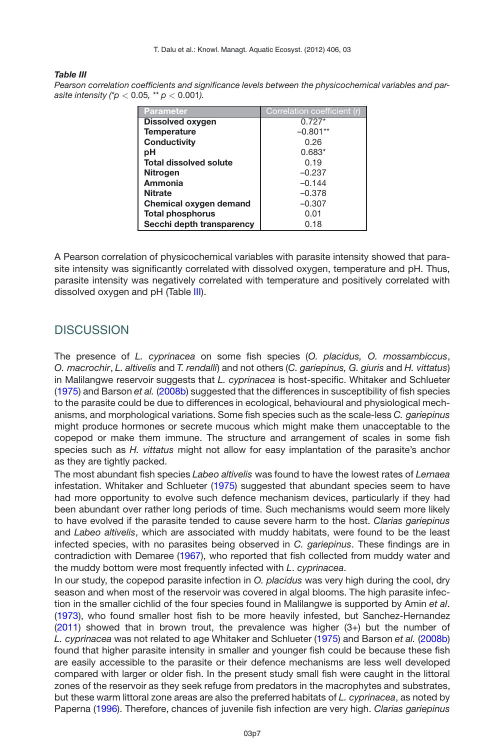#### <span id="page-6-0"></span>*Table III*

| Pearson correlation coefficients and significance levels between the physicochemical variables and par- |
|---------------------------------------------------------------------------------------------------------|
| asite intensity (* $p < 0.05$ , ** $p < 0.001$ ).                                                       |

| <b>Parameter</b>              | Correlation coefficient (r) |
|-------------------------------|-----------------------------|
| <b>Dissolved oxygen</b>       | $0.727*$                    |
| <b>Temperature</b>            | $-0.801**$                  |
| Conductivity                  | 0.26                        |
| pН                            | $0.683*$                    |
| <b>Total dissolved solute</b> | 0.19                        |
| <b>Nitrogen</b>               | $-0.237$                    |
| Ammonia                       | $-0.144$                    |
| <b>Nitrate</b>                | $-0.378$                    |
| Chemical oxygen demand        | $-0.307$                    |
| <b>Total phosphorus</b>       | 0.01                        |
| Secchi depth transparency     | 0.18                        |

A Pearson correlation of physicochemical variables with parasite intensity showed that parasite intensity was significantly correlated with dissolved oxygen, temperature and pH. Thus, parasite intensity was negatively correlated with temperature and positively correlated with dissolved oxygen and pH (Table [III\)](#page-6-0).

### **DISCUSSION**

The presence of *L. cyprinacea* on some fish species (*O. placidus, O. mossambiccus*, *O. macrochir*, *L. altivelis* and *T. rendalli*) and not others (*C. gariepinus, G. giuris* and *H. vittatus*) in Malilangwe reservoir suggests that *L. cyprinacea* is host-specific. Whitaker and Schlueter [\(1975](#page-8-15)) and Barson *et al.* [\(2008b](#page-8-4)) suggested that the differences in susceptibility of fish species to the parasite could be due to differences in ecological, behavioural and physiological mechanisms, and morphological variations. Some fish species such as the scale-less *C. gariepinus* might produce hormones or secrete mucous which might make them unacceptable to the copepod or make them immune. The structure and arrangement of scales in some fish species such as *H. vittatus* might not allow for easy implantation of the parasite's anchor as they are tightly packed.

The most abundant fish species *Labeo altivelis* was found to have the lowest rates of *Lernaea* infestation. Whitaker and Schlueter [\(1975\)](#page-8-15) suggested that abundant species seem to have had more opportunity to evolve such defence mechanism devices, particularly if they had been abundant over rather long periods of time. Such mechanisms would seem more likely to have evolved if the parasite tended to cause severe harm to the host. *Clarias gariepinus* and *Labeo altivelis*, which are associated with muddy habitats, were found to be the least infected species, with no parasites being observed in *C. gariepinus*. These findings are in contradiction with Demaree [\(1967\)](#page-8-5), who reported that fish collected from muddy water and the muddy bottom were most frequently infected with *L*. *cyprinacea*.

In our study, the copepod parasite infection in *O. placidus* was very high during the cool, dry season and when most of the reservoir was covered in algal blooms. The high parasite infection in the smaller cichlid of the four species found in Malilangwe is supported by Amin *et al*. [\(1973](#page-8-16)), who found smaller host fish to be more heavily infested, but Sanchez-Hernandez [\(2011](#page-8-17)) showed that in brown trout, the prevalence was higher (3+) but the number of *L. cyprinacea* was not related to age Whitaker and Schlueter [\(1975](#page-8-15)) and Barson *et al.* [\(2008b](#page-8-4)) found that higher parasite intensity in smaller and younger fish could be because these fish are easily accessible to the parasite or their defence mechanisms are less well developed compared with larger or older fish. In the present study small fish were caught in the littoral zones of the reservoir as they seek refuge from predators in the macrophytes and substrates, but these warm littoral zone areas are also the preferred habitats of *L. cyprinacea*, as noted by Paperna [\(1996\)](#page-8-18). Therefore, chances of juvenile fish infection are very high. *Clarias gariepinus*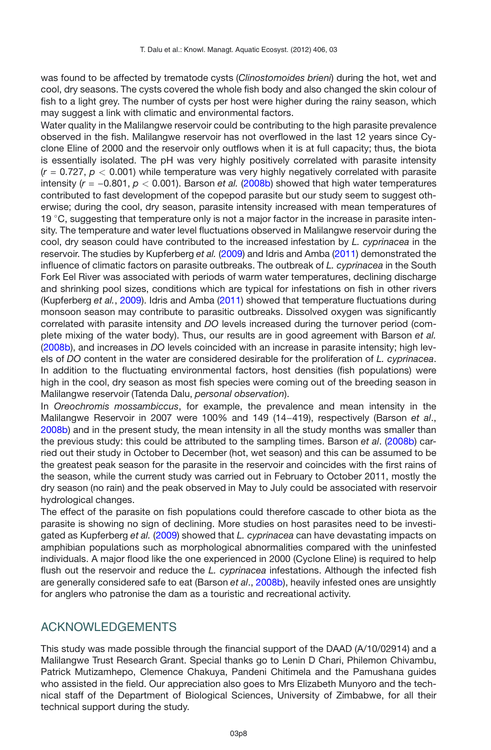was found to be affected by trematode cysts (*Clinostomoides brieni*) during the hot, wet and cool, dry seasons. The cysts covered the whole fish body and also changed the skin colour of fish to a light grey. The number of cysts per host were higher during the rainy season, which may suggest a link with climatic and environmental factors.

Water quality in the Malilangwe reservoir could be contributing to the high parasite prevalence observed in the fish. Malilangwe reservoir has not overflowed in the last 12 years since Cyclone Eline of 2000 and the reservoir only outflows when it is at full capacity; thus, the biota is essentially isolated. The pH was very highly positively correlated with parasite intensity (*r* = 0.727, *p <* 0.001) while temperature was very highly negatively correlated with parasite intensity (*r* = −0.801, *p <* 0.001). Barson *et al.* [\(2008b](#page-8-4)) showed that high water temperatures contributed to fast development of the copepod parasite but our study seem to suggest otherwise; during the cool, dry season, parasite intensity increased with mean temperatures of 19  $°C$ , suggesting that temperature only is not a major factor in the increase in parasite intensity. The temperature and water level fluctuations observed in Malilangwe reservoir during the cool, dry season could have contributed to the increased infestation by *L. cyprinacea* in the reservoir. The studies by Kupferberg *et al.* [\(2009\)](#page-8-19) and Idris and Amba [\(2011\)](#page-8-20) demonstrated the influence of climatic factors on parasite outbreaks. The outbreak of *L. cyprinacea* in the South Fork Eel River was associated with periods of warm water temperatures, declining discharge and shrinking pool sizes, conditions which are typical for infestations on fish in other rivers (Kupferberg *et al.*, [2009](#page-8-19)). Idris and Amba [\(2011](#page-8-20)) showed that temperature fluctuations during monsoon season may contribute to parasitic outbreaks. Dissolved oxygen was significantly correlated with parasite intensity and *DO* levels increased during the turnover period (complete mixing of the water body). Thus, our results are in good agreement with Barson *et al.* [\(2008b](#page-8-4)), and increases in *DO* levels coincided with an increase in parasite intensity; high levels of *DO* content in the water are considered desirable for the proliferation of *L. cyprinacea*. In addition to the fluctuating environmental factors, host densities (fish populations) were high in the cool, dry season as most fish species were coming out of the breeding season in Malilangwe reservoir (Tatenda Dalu, *personal observation*).

In *Oreochromis mossambiccus*, for example, the prevalence and mean intensity in the Malilangwe Reservoir in 2007 were 100% and 149 (14−419), respectively (Barson *et al*., [2008b](#page-8-4)) and in the present study, the mean intensity in all the study months was smaller than the previous study: this could be attributed to the sampling times. Barson *et al*. [\(2008b\)](#page-8-4) carried out their study in October to December (hot, wet season) and this can be assumed to be the greatest peak season for the parasite in the reservoir and coincides with the first rains of the season, while the current study was carried out in February to October 2011, mostly the dry season (no rain) and the peak observed in May to July could be associated with reservoir hydrological changes.

The effect of the parasite on fish populations could therefore cascade to other biota as the parasite is showing no sign of declining. More studies on host parasites need to be investigated as Kupferberg *et al.* [\(2009\)](#page-8-19) showed that *L. cyprinacea* can have devastating impacts on amphibian populations such as morphological abnormalities compared with the uninfested individuals. A major flood like the one experienced in 2000 (Cyclone Eline) is required to help flush out the reservoir and reduce the *L. cyprinacea* infestations. Although the infected fish are generally considered safe to eat (Barson *et al*., [2008b\)](#page-8-4), heavily infested ones are unsightly for anglers who patronise the dam as a touristic and recreational activity.

## ACKNOWLEDGEMENTS

This study was made possible through the financial support of the DAAD (A/10/02914) and a Malilangwe Trust Research Grant. Special thanks go to Lenin D Chari, Philemon Chivambu, Patrick Mutizamhepo, Clemence Chakuya, Pandeni Chitimela and the Pamushana guides who assisted in the field. Our appreciation also goes to Mrs Elizabeth Munyoro and the technical staff of the Department of Biological Sciences, University of Zimbabwe, for all their technical support during the study.